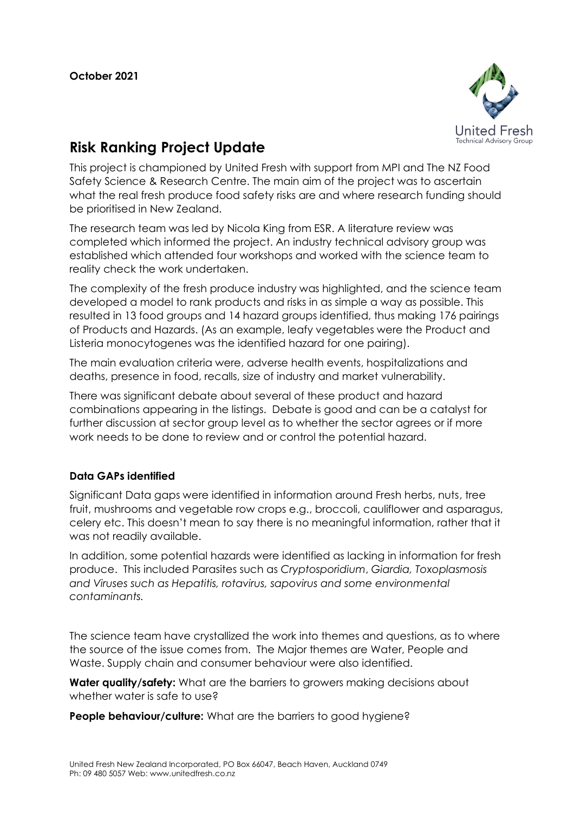

## **Risk Ranking Project Update**

This project is championed by United Fresh with support from MPI and The NZ Food Safety Science & Research Centre. The main aim of the project was to ascertain what the real fresh produce food safety risks are and where research funding should be prioritised in New Zealand.

The research team was led by Nicola King from ESR. A literature review was completed which informed the project. An industry technical advisory group was established which attended four workshops and worked with the science team to reality check the work undertaken.

The complexity of the fresh produce industry was highlighted, and the science team developed a model to rank products and risks in as simple a way as possible. This resulted in 13 food groups and 14 hazard groups identified, thus making 176 pairings of Products and Hazards. (As an example, leafy vegetables were the Product and Listeria monocytogenes was the identified hazard for one pairing).

The main evaluation criteria were, adverse health events, hospitalizations and deaths, presence in food, recalls, size of industry and market vulnerability.

There was significant debate about several of these product and hazard combinations appearing in the listings. Debate is good and can be a catalyst for further discussion at sector group level as to whether the sector agrees or if more work needs to be done to review and or control the potential hazard.

## **Data GAPs identified**

Significant Data gaps were identified in information around Fresh herbs, nuts, tree fruit, mushrooms and vegetable row crops e.g., broccoli, cauliflower and asparagus, celery etc. This doesn't mean to say there is no meaningful information, rather that it was not readily available.

In addition, some potential hazards were identified as lacking in information for fresh produce. This included Parasites such as *Cryptosporidium*, *Giardia, Toxoplasmosis and Viruses such as Hepatitis, rotavirus, sapovirus and some environmental contaminants.*

The science team have crystallized the work into themes and questions, as to where the source of the issue comes from. The Major themes are Water, People and Waste. Supply chain and consumer behaviour were also identified.

**Water quality/safety:** What are the barriers to growers making decisions about whether water is safe to use?

**People behaviour/culture:** What are the barriers to good hygiene?